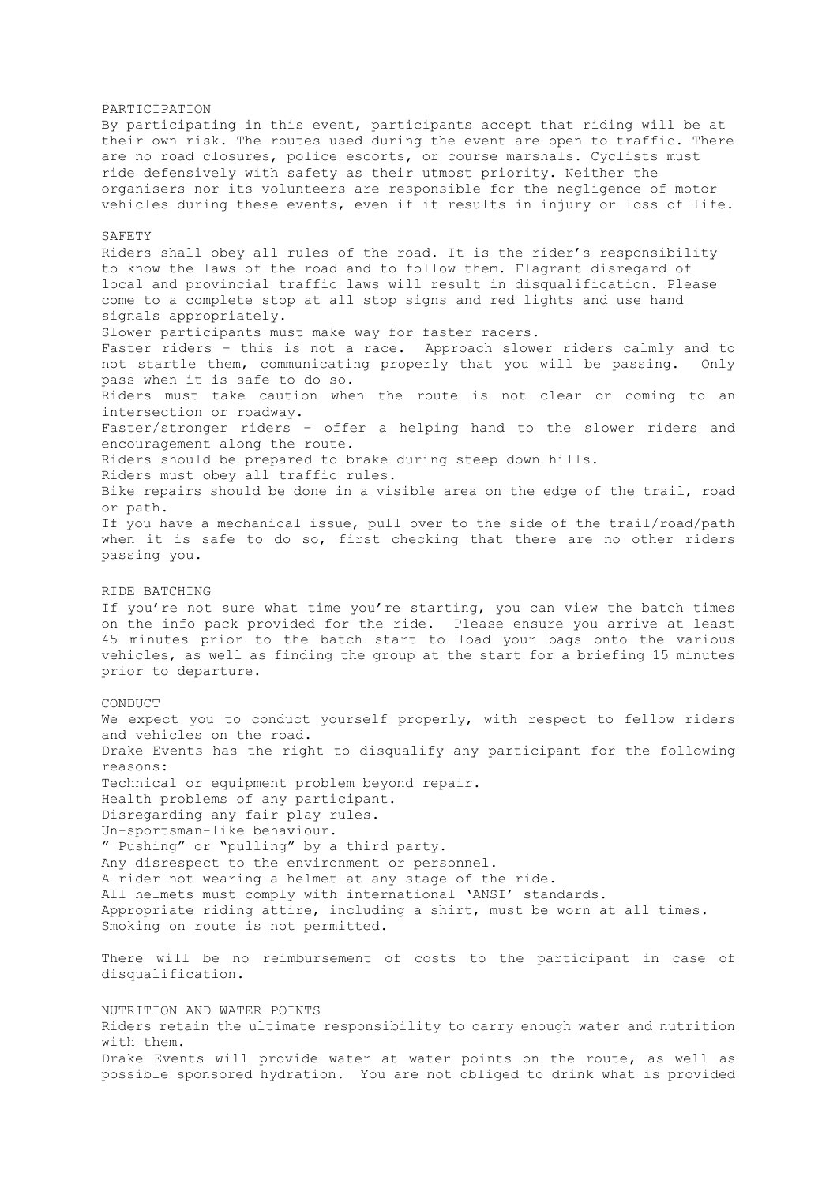PARTICIPATION By participating in this event, participants accept that riding will be at their own risk. The routes used during the event are open to traffic. There are no road closures, police escorts, or course marshals. Cyclists must ride defensively with safety as their utmost priority. Neither the organisers nor its volunteers are responsible for the negligence of motor vehicles during these events, even if it results in injury or loss of life. SAFETY Riders shall obey all rules of the road. It is the rider's responsibility to know the laws of the road and to follow them. Flagrant disregard of local and provincial traffic laws will result in disqualification. Please come to a complete stop at all stop signs and red lights and use hand signals appropriately. Slower participants must make way for faster racers. Faster riders – this is not a race. Approach slower riders calmly and to not startle them, communicating properly that you will be passing. Only pass when it is safe to do so. Riders must take caution when the route is not clear or coming to an intersection or roadway. Faster/stronger riders – offer a helping hand to the slower riders and encouragement along the route. Riders should be prepared to brake during steep down hills. Riders must obey all traffic rules. Bike repairs should be done in a visible area on the edge of the trail, road or path. If you have a mechanical issue, pull over to the side of the trail/road/path when it is safe to do so, first checking that there are no other riders passing you. RIDE BATCHING If you're not sure what time you're starting, you can view the batch times on the info pack provided for the ride. Please ensure you arrive at least 45 minutes prior to the batch start to load your bags onto the various vehicles, as well as finding the group at the start for a briefing 15 minutes prior to departure. CONDUCT We expect you to conduct yourself properly, with respect to fellow riders and vehicles on the road. Drake Events has the right to disqualify any participant for the following reasons: Technical or equipment problem beyond repair. Health problems of any participant. Disregarding any fair play rules. Un-sportsman-like behaviour. " Pushing" or "pulling" by a third party. Any disrespect to the environment or personnel. A rider not wearing a helmet at any stage of the ride. All helmets must comply with international 'ANSI' standards. Appropriate riding attire, including a shirt, must be worn at all times. Smoking on route is not permitted. There will be no reimbursement of costs to the participant in case of disqualification. NUTRITION AND WATER POINTS Riders retain the ultimate responsibility to carry enough water and nutrition with them.

Drake Events will provide water at water points on the route, as well as possible sponsored hydration. You are not obliged to drink what is provided